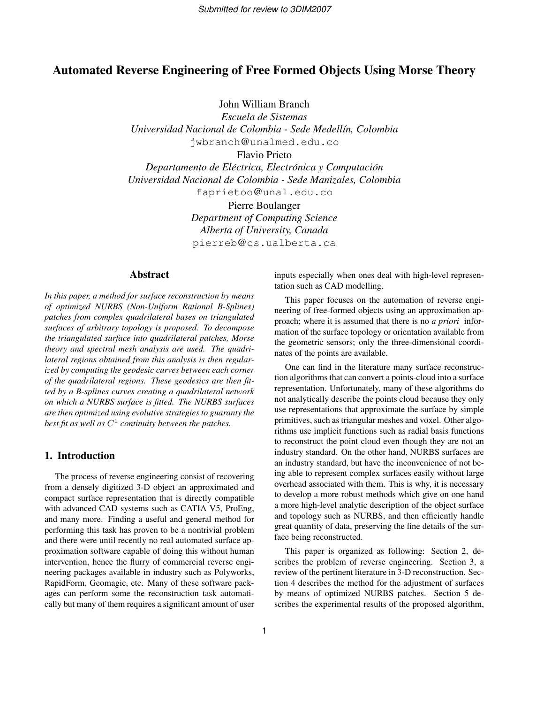# **Automated Reverse Engineering of Free Formed Objects Using Morse Theory**

John William Branch

*Escuela de Sistemas Universidad Nacional de Colombia - Sede Medell´ın, Colombia* jwbranch@unalmed.edu.co

Flavio Prieto *Departamento de Electrica, ´ Electronica ´ y Computacion´*

*Universidad Nacional de Colombia - Sede Manizales, Colombia*

faprietoo@unal.edu.co

Pierre Boulanger *Department of Computing Science Alberta of University, Canada* pierreb@cs.ualberta.ca

#### **Abstract**

*In this paper, a method for surface reconstruction by means of optimized NURBS (Non-Uniform Rational B-Splines) patches from complex quadrilateral bases on triangulated surfaces of arbitrary topology is proposed. To decompose the triangulated surface into quadrilateral patches, Morse theory and spectral mesh analysis are used. The quadrilateral regions obtained from this analysis is then regularized by computing the geodesic curves between each corner of the quadrilateral regions. These geodesics are then fitted by a B-splines curves creating a quadrilateral network on which a NURBS surface is fitted. The NURBS surfaces are then optimized using evolutive strategies to guaranty the best fit as well as*  $C^1$  *continuity between the patches.* 

#### **1. Introduction**

The process of reverse engineering consist of recovering from a densely digitized 3-D object an approximated and compact surface representation that is directly compatible with advanced CAD systems such as CATIA V5, ProEng, and many more. Finding a useful and general method for performing this task has proven to be a nontrivial problem and there were until recently no real automated surface approximation software capable of doing this without human intervention, hence the flurry of commercial reverse engineering packages available in industry such as Polyworks, RapidForm, Geomagic, etc. Many of these software packages can perform some the reconstruction task automatically but many of them requires a significant amount of user inputs especially when ones deal with high-level representation such as CAD modelling.

This paper focuses on the automation of reverse engineering of free-formed objects using an approximation approach; where it is assumed that there is no *a priori* information of the surface topology or orientation available from the geometric sensors; only the three-dimensional coordinates of the points are available.

One can find in the literature many surface reconstruction algorithms that can convert a points-cloud into a surface representation. Unfortunately, many of these algorithms do not analytically describe the points cloud because they only use representations that approximate the surface by simple primitives, such as triangular meshes and voxel. Other algorithms use implicit functions such as radial basis functions to reconstruct the point cloud even though they are not an industry standard. On the other hand, NURBS surfaces are an industry standard, but have the inconvenience of not being able to represent complex surfaces easily without large overhead associated with them. This is why, it is necessary to develop a more robust methods which give on one hand a more high-level analytic description of the object surface and topology such as NURBS, and then efficiently handle great quantity of data, preserving the fine details of the surface being reconstructed.

This paper is organized as following: Section 2, describes the problem of reverse engineering. Section 3, a review of the pertinent literature in 3-D reconstruction. Section 4 describes the method for the adjustment of surfaces by means of optimized NURBS patches. Section 5 describes the experimental results of the proposed algorithm,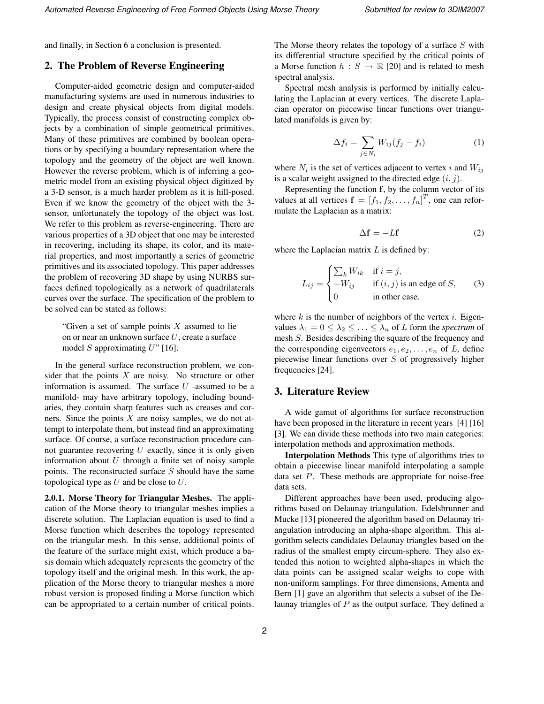and finally, in Section 6 a conclusion is presented.

### **2. The Problem of Reverse Engineering**

Computer-aided geometric design and computer-aided manufacturing systems are used in numerous industries to design and create physical objects from digital models. Typically, the process consist of constructing complex objects by a combination of simple geometrical primitives. Many of these primitives are combined by boolean operations or by specifying a boundary representation where the topology and the geometry of the object are well known. However the reverse problem, which is of inferring a geometric model from an existing physical object digitized by a 3-D sensor, is a much harder problem as it is hill-posed. Even if we know the geometry of the object with the 3 sensor, unfortunately the topology of the object was lost. We refer to this problem as reverse-engineering. There are various properties of a 3D object that one may be interested in recovering, including its shape, its color, and its material properties, and most importantly a series of geometric primitives and its associated topology. This paper addresses the problem of recovering 3D shape by using NURBS surfaces defined topologically as a network of quadrilaterals curves over the surface. The specification of the problem to be solved can be stated as follows:

"Given a set of sample points  $X$  assumed to lie on or near an unknown surface  $U$ , create a surface model S approximating  $U$ " [16].

In the general surface reconstruction problem, we consider that the points  $X$  are noisy. No structure or other information is assumed. The surface  $U$  -assumed to be a manifold- may have arbitrary topology, including boundaries, they contain sharp features such as creases and corners. Since the points  $X$  are noisy samples, we do not attempt to interpolate them, but instead find an approximating surface. Of course, a surface reconstruction procedure cannot guarantee recovering  $U$  exactly, since it is only given information about  $U$  through a finite set of noisy sample points. The reconstructed surface  $S$  should have the same topological type as  $U$  and be close to  $U$ .

**2.0.1. Morse Theory for Triangular Meshes.** The application of the Morse theory to triangular meshes implies a discrete solution. The Laplacian equation is used to find a Morse function which describes the topology represented on the triangular mesh. In this sense, additional points of the feature of the surface might exist, which produce a basis domain which adequately represents the geometry of the topology itself and the original mesh. In this work, the application of the Morse theory to triangular meshes a more robust version is proposed finding a Morse function which can be appropriated to a certain number of critical points.

The Morse theory relates the topology of a surface  $S$  with its differential structure specified by the critical points of a Morse function  $h : S \to \mathbb{R}$  [20] and is related to mesh spectral analysis.

Spectral mesh analysis is performed by initially calculating the Laplacian at every vertices. The discrete Laplacian operator on piecewise linear functions over triangulated manifolds is given by:

$$
\Delta f_i = \sum_{j \in N_i} W_{ij} (f_j - f_i) \tag{1}
$$

where  $N_i$  is the set of vertices adjacent to vertex i and  $W_{ij}$ is a scalar weight assigned to the directed edge  $(i, j)$ .

Representing the function f, by the column vector of its values at all vertices  $f = [f_1, f_2, \dots, f_n]^T$ , one can reformulate the Laplacian as a matrix:

$$
\Delta \mathbf{f} = -L\mathbf{f} \tag{2}
$$

where the Laplacian matrix  $L$  is defined by:

$$
L_{ij} = \begin{cases} \sum_{k} W_{ik} & \text{if } i = j, \\ -W_{ij} & \text{if } (i, j) \text{ is an edge of } S, \\ 0 & \text{in other case.} \end{cases}
$$
 (3)

where  $k$  is the number of neighbors of the vertex  $i$ . Eigenvalues  $\lambda_1 = 0 \leq \lambda_2 \leq \ldots \leq \lambda_n$  of L form the *spectrum* of mesh S. Besides describing the square of the frequency and the corresponding eigenvectors  $e_1, e_2, \ldots, e_n$  of L, define piecewise linear functions over S of progressively higher frequencies [24].

#### **3. Literature Review**

A wide gamut of algorithms for surface reconstruction have been proposed in the literature in recent years [4] [16] [3]. We can divide these methods into two main categories: interpolation methods and approximation methods.

**Interpolation Methods** This type of algorithms tries to obtain a piecewise linear manifold interpolating a sample data set P. These methods are appropriate for noise-free data sets.

Different approaches have been used, producing algorithms based on Delaunay triangulation. Edelsbrunner and Mucke [13] pioneered the algorithm based on Delaunay triangulation introducing an alpha-shape algorithm. This algorithm selects candidates Delaunay triangles based on the radius of the smallest empty circum-sphere. They also extended this notion to weighted alpha-shapes in which the data points can be assigned scalar weighs to cope with non-uniform samplings. For three dimensions, Amenta and Bern [1] gave an algorithm that selects a subset of the Delaunay triangles of  $P$  as the output surface. They defined a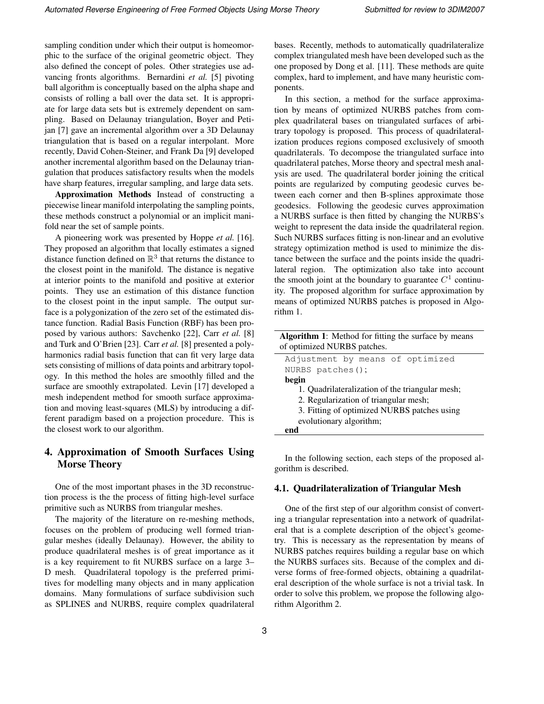sampling condition under which their output is homeomorphic to the surface of the original geometric object. They also defined the concept of poles. Other strategies use advancing fronts algorithms. Bernardini *et al.* [5] pivoting ball algorithm is conceptually based on the alpha shape and consists of rolling a ball over the data set. It is appropriate for large data sets but is extremely dependent on sampling. Based on Delaunay triangulation, Boyer and Petijan [7] gave an incremental algorithm over a 3D Delaunay triangulation that is based on a regular interpolant. More recently, David Cohen-Steiner, and Frank Da [9] developed another incremental algorithm based on the Delaunay triangulation that produces satisfactory results when the models have sharp features, irregular sampling, and large data sets.

**Approximation Methods** Instead of constructing a piecewise linear manifold interpolating the sampling points, these methods construct a polynomial or an implicit manifold near the set of sample points.

A pioneering work was presented by Hoppe *et al.* [16]. They proposed an algorithm that locally estimates a signed distance function defined on  $\mathbb{R}^3$  that returns the distance to the closest point in the manifold. The distance is negative at interior points to the manifold and positive at exterior points. They use an estimation of this distance function to the closest point in the input sample. The output surface is a polygonization of the zero set of the estimated distance function. Radial Basis Function (RBF) has been proposed by various authors: Savchenko [22], Carr *et al.* [8] and Turk and O'Brien [23]. Carr *et al.* [8] presented a polyharmonics radial basis function that can fit very large data sets consisting of millions of data points and arbitrary topology. In this method the holes are smoothly filled and the surface are smoothly extrapolated. Levin [17] developed a mesh independent method for smooth surface approximation and moving least-squares (MLS) by introducing a different paradigm based on a projection procedure. This is the closest work to our algorithm.

## **4. Approximation of Smooth Surfaces Using Morse Theory**

One of the most important phases in the 3D reconstruction process is the the process of fitting high-level surface primitive such as NURBS from triangular meshes.

The majority of the literature on re-meshing methods, focuses on the problem of producing well formed triangular meshes (ideally Delaunay). However, the ability to produce quadrilateral meshes is of great importance as it is a key requirement to fit NURBS surface on a large 3– D mesh. Quadrilateral topology is the preferred primitives for modelling many objects and in many application domains. Many formulations of surface subdivision such as SPLINES and NURBS, require complex quadrilateral bases. Recently, methods to automatically quadrilateralize complex triangulated mesh have been developed such as the one proposed by Dong et al. [11]. These methods are quite complex, hard to implement, and have many heuristic components.

In this section, a method for the surface approximation by means of optimized NURBS patches from complex quadrilateral bases on triangulated surfaces of arbitrary topology is proposed. This process of quadrilateralization produces regions composed exclusively of smooth quadrilaterals. To decompose the triangulated surface into quadrilateral patches, Morse theory and spectral mesh analysis are used. The quadrilateral border joining the critical points are regularized by computing geodesic curves between each corner and then B-splines approximate those geodesics. Following the geodesic curves approximation a NURBS surface is then fitted by changing the NURBS's weight to represent the data inside the quadrilateral region. Such NURBS surfaces fitting is non-linear and an evolutive strategy optimization method is used to minimize the distance between the surface and the points inside the quadrilateral region. The optimization also take into account the smooth joint at the boundary to guarantee  $C<sup>1</sup>$  continuity. The proposed algorithm for surface approximation by means of optimized NURBS patches is proposed in Algorithm 1.

| <b>Algorithm 1:</b> Method for fitting the surface by means<br>of optimized NURBS patches. |  |  |  |
|--------------------------------------------------------------------------------------------|--|--|--|
| Adjustment by means of optimized                                                           |  |  |  |
| NURBS patches();                                                                           |  |  |  |
| begin                                                                                      |  |  |  |
| 1. Quadrilateralization of the triangular mesh;                                            |  |  |  |
| 2. Regularization of triangular mesh;                                                      |  |  |  |
| 3. Fitting of optimized NURBS patches using                                                |  |  |  |
| evolutionary algorithm;                                                                    |  |  |  |
|                                                                                            |  |  |  |

In the following section, each steps of the proposed algorithm is described.

#### **4.1. Quadrilateralization of Triangular Mesh**

One of the first step of our algorithm consist of converting a triangular representation into a network of quadrilateral that is a complete description of the object's geometry. This is necessary as the representation by means of NURBS patches requires building a regular base on which the NURBS surfaces sits. Because of the complex and diverse forms of free-formed objects, obtaining a quadrilateral description of the whole surface is not a trivial task. In order to solve this problem, we propose the following algorithm Algorithm 2.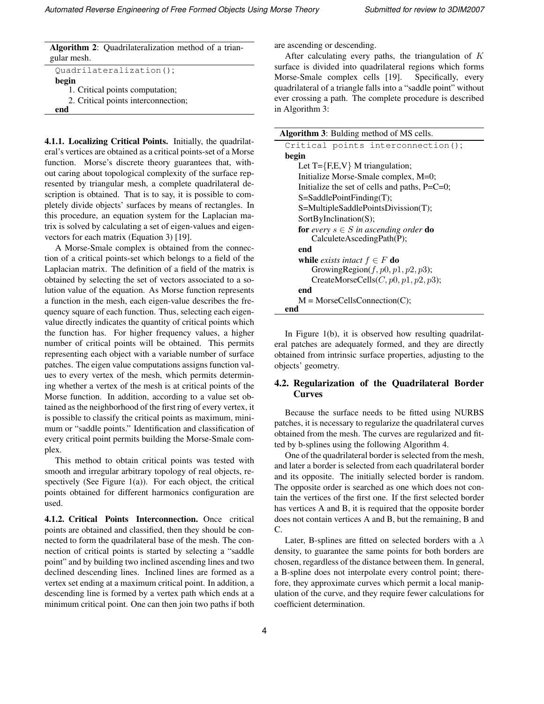**Algorithm 2**: Quadrilateralization method of a triangular mesh.

Quadrilateralization(); **begin** 1. Critical points computation; 2. Critical points interconnection; **end**

**4.1.1. Localizing Critical Points.** Initially, the quadrilateral's vertices are obtained as a critical points-set of a Morse function. Morse's discrete theory guarantees that, without caring about topological complexity of the surface represented by triangular mesh, a complete quadrilateral description is obtained. That is to say, it is possible to completely divide objects' surfaces by means of rectangles. In this procedure, an equation system for the Laplacian matrix is solved by calculating a set of eigen-values and eigenvectors for each matrix (Equation 3) [19].

A Morse-Smale complex is obtained from the connection of a critical points-set which belongs to a field of the Laplacian matrix. The definition of a field of the matrix is obtained by selecting the set of vectors associated to a solution value of the equation. As Morse function represents a function in the mesh, each eigen-value describes the frequency square of each function. Thus, selecting each eigenvalue directly indicates the quantity of critical points which the function has. For higher frequency values, a higher number of critical points will be obtained. This permits representing each object with a variable number of surface patches. The eigen value computations assigns function values to every vertex of the mesh, which permits determining whether a vertex of the mesh is at critical points of the Morse function. In addition, according to a value set obtained asthe neighborhood of the first ring of every vertex, it is possible to classify the critical points as maximum, minimum or "saddle points." Identification and classification of every critical point permits building the Morse-Smale complex.

This method to obtain critical points was tested with smooth and irregular arbitrary topology of real objects, respectively (See Figure 1(a)). For each object, the critical points obtained for different harmonics configuration are used.

**4.1.2. Critical Points Interconnection.** Once critical points are obtained and classified, then they should be connected to form the quadrilateral base of the mesh. The connection of critical points is started by selecting a "saddle point" and by building two inclined ascending lines and two declined descending lines. Inclined lines are formed as a vertex set ending at a maximum critical point. In addition, a descending line is formed by a vertex path which ends at a minimum critical point. One can then join two paths if both are ascending or descending.

After calculating every paths, the triangulation of K surface is divided into quadrilateral regions which forms Morse-Smale complex cells [19]. Specifically, every quadrilateral of a triangle falls into a "saddle point" without ever crossing a path. The complete procedure is described in Algorithm 3:

| Algorithm 3: Bulding method of MS cells. |  |  |  |  |
|------------------------------------------|--|--|--|--|
|------------------------------------------|--|--|--|--|

| Critical points interconnection();                      |  |  |  |
|---------------------------------------------------------|--|--|--|
| begin                                                   |  |  |  |
| Let $T = \{F, E, V\}$ M triangulation;                  |  |  |  |
| Initialize Morse-Smale complex, M=0;                    |  |  |  |
| Initialize the set of cells and paths, $P=C=0$ ;        |  |  |  |
| $S = SaddlePointFinding(T);$                            |  |  |  |
| S=MultipleSaddlePointsDivission(T);                     |  |  |  |
| SortBy Inclination(S);                                  |  |  |  |
| <b>for</b> every $s \in S$ in ascending order <b>do</b> |  |  |  |
| Calculate A seedingPath(P);                             |  |  |  |
| end                                                     |  |  |  |
| while <i>exists intact</i> $f \in F$ do                 |  |  |  |
| GrowingRegion $(f, p0, p1, p2, p3)$ ;                   |  |  |  |
| CreateMorseCells $(C, p0, p1, p2, p3)$ ;                |  |  |  |
| end                                                     |  |  |  |
| $M = MorseCellsConnection(C);$                          |  |  |  |
| end                                                     |  |  |  |

In Figure 1(b), it is observed how resulting quadrilateral patches are adequately formed, and they are directly obtained from intrinsic surface properties, adjusting to the objects' geometry.

#### **4.2. Regularization of the Quadrilateral Border Curves**

Because the surface needs to be fitted using NURBS patches, it is necessary to regularize the quadrilateral curves obtained from the mesh. The curves are regularized and fitted by b-splines using the following Algorithm 4.

One of the quadrilateral border is selected from the mesh, and later a border is selected from each quadrilateral border and its opposite. The initially selected border is random. The opposite order is searched as one which does not contain the vertices of the first one. If the first selected border has vertices A and B, it is required that the opposite border does not contain vertices A and B, but the remaining, B and C.

Later, B-splines are fitted on selected borders with a  $\lambda$ density, to guarantee the same points for both borders are chosen, regardless of the distance between them. In general, a B-spline does not interpolate every control point; therefore, they approximate curves which permit a local manipulation of the curve, and they require fewer calculations for coefficient determination.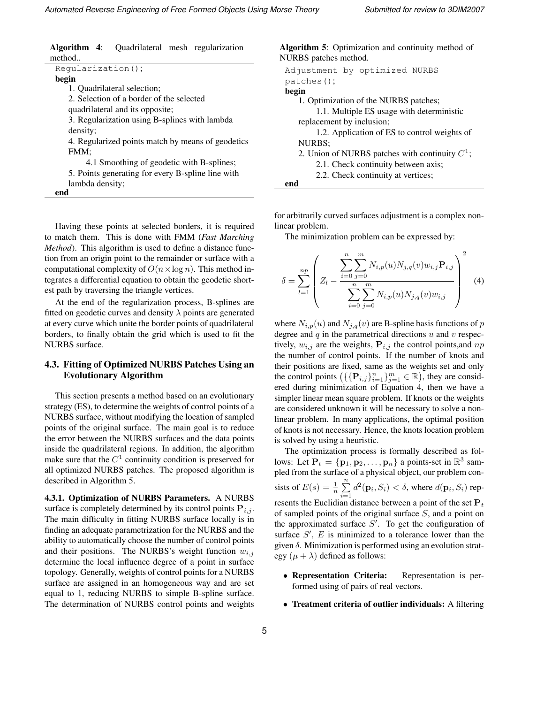| Quadrilateral mesh regularization<br>Algorithm 4: | Algorithm 5: Optimization and continuity method of |
|---------------------------------------------------|----------------------------------------------------|
| method                                            | NURBS patches method.                              |
| Required ();                                      | Adjustment by optimized NURBS                      |
| begin                                             | patches();                                         |
| 1. Quadrilateral selection;                       | begin                                              |
| 2. Selection of a border of the selected          | 1. Optimization of the NURBS patches;              |
| quadrilateral and its opposite;                   | 1.1. Multiple ES usage with deterministic          |
| 3. Regularization using B-splines with lambda     | replacement by inclusion;                          |
| density:                                          | 1.2. Application of ES to control weights of       |
| 4. Regularized points match by means of geodetics | NURBS:                                             |
| FMM:                                              | 2. Union of NURBS patches with continuity $C^1$ ;  |
| 4.1 Smoothing of geodetic with B-splines;         | 2.1. Check continuity between axis;                |
| 5. Points generating for every B-spline line with | 2.2. Check continuity at vertices;                 |
| lambda density;                                   | end                                                |

Having these points at selected borders, it is required to match them. This is done with FMM (*Fast Marching Method*). This algorithm is used to define a distance function from an origin point to the remainder or surface with a computational complexity of  $O(n \times \log n)$ . This method integrates a differential equation to obtain the geodetic shortest path by traversing the triangle vertices.

**end**

At the end of the regularization process, B-splines are fitted on geodetic curves and density  $\lambda$  points are generated at every curve which unite the border points of quadrilateral borders, to finally obtain the grid which is used to fit the NURBS surface.

#### **4.3. Fitting of Optimized NURBS Patches Using an Evolutionary Algorithm**

This section presents a method based on an evolutionary strategy (ES), to determine the weights of control points of a NURBS surface, without modifying the location of sampled points of the original surface. The main goal is to reduce the error between the NURBS surfaces and the data points inside the quadrilateral regions. In addition, the algorithm make sure that the  $C<sup>1</sup>$  continuity condition is preserved for all optimized NURBS patches. The proposed algorithm is described in Algorithm 5.

**4.3.1. Optimization of NURBS Parameters.** A NURBS surface is completely determined by its control points  $P_{i,j}$ . The main difficulty in fitting NURBS surface locally is in finding an adequate parametrization for the NURBS and the ability to automatically choose the number of control points and their positions. The NURBS's weight function  $w_{i,j}$ determine the local influence degree of a point in surface topology. Generally, weights of control points for a NURBS surface are assigned in an homogeneous way and are set equal to 1, reducing NURBS to simple B-spline surface. The determination of NURBS control points and weights for arbitrarily curved surfaces adjustment is a complex nonlinear problem.

The minimization problem can be expressed by:

$$
\delta = \sum_{l=1}^{np} \left( Z_l - \frac{\sum_{i=0}^{n} \sum_{j=0}^{m} N_{i,p}(u) N_{j,q}(v) w_{i,j} \mathbf{P}_{i,j}}{\sum_{i=0}^{n} \sum_{j=0}^{m} N_{i,p}(u) N_{j,q}(v) w_{i,j}} \right)^2
$$
(4)

where  $N_{i,p}(u)$  and  $N_{j,q}(v)$  are B-spline basis functions of p degree and  $q$  in the parametrical directions  $u$  and  $v$  respectively,  $w_{i,j}$  are the weights,  $P_{i,j}$  the control points, and np the number of control points. If the number of knots and their positions are fixed, same as the weights set and only the control points  $(\{\{\mathbf{P}_{i,j}\}_{i=1}^n\}_{j=1}^m \in \mathbb{R})$ , they are considered during minimization of Equation 4, then we have a simpler linear mean square problem. If knots or the weights are considered unknown it will be necessary to solve a nonlinear problem. In many applications, the optimal position of knots is not necessary. Hence, the knots location problem is solved by using a heuristic.

The optimization process is formally described as follows: Let  $P_t = \{p_1, p_2, \dots, p_n\}$  a points-set in  $\mathbb{R}^3$  sampled from the surface of a physical object, our problem consists of  $E(s) = \frac{1}{n} \sum_{n=1}^{\infty}$  $i=1$  $d^2(\mathbf{p}_i, S_i) < \delta$ , where  $d(\mathbf{p}_i, S_i)$  represents the Euclidian distance between a point of the set  $P<sub>t</sub>$ of sampled points of the original surface S, and a point on the approximated surface  $S'$ . To get the configuration of surface  $S'$ ,  $E$  is minimized to a tolerance lower than the given  $\delta$ . Minimization is performed using an evolution strategy  $(\mu + \lambda)$  defined as follows:

- **Representation Criteria:** Representation is performed using of pairs of real vectors.
- **Treatment criteria of outlier individuals:** A filtering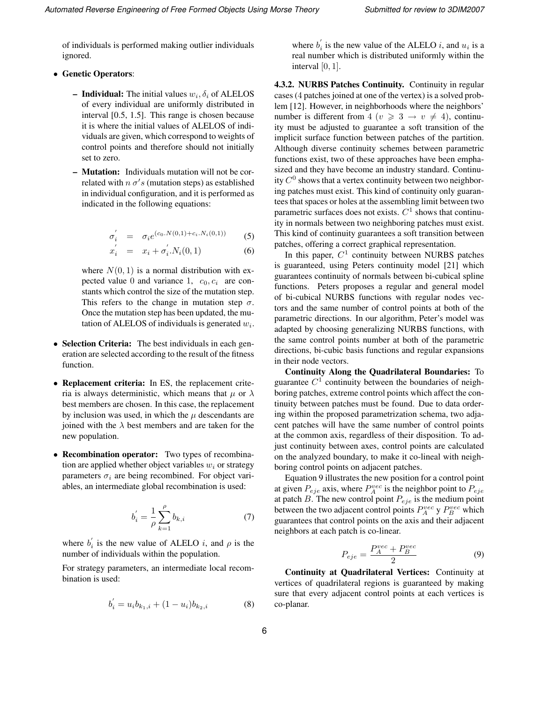of individuals is performed making outlier individuals ignored.

- **Genetic Operators**:
	- **Individual:** The initial values  $w_i$ ,  $\delta_i$  of ALELOS of every individual are uniformly distributed in interval [0.5, 1.5]. This range is chosen because it is where the initial values of ALELOS of individuals are given, which correspond to weights of control points and therefore should not initially set to zero.
	- **– Mutation:** Individuals mutation will not be correlated with  $n \sigma' s$  (mutation steps) as established in individual configuration, and it is performed as indicated in the following equations:

$$
\sigma_i' = \sigma_i e^{(c_0.N(0,1) + c_i.N_i(0,1))} \tag{5}
$$

$$
x_i' = x_i + \sigma_i'.N_i(0,1)
$$
 (6)

where  $N(0, 1)$  is a normal distribution with expected value 0 and variance 1,  $c_0, c_i$  are constants which control the size of the mutation step. This refers to the change in mutation step  $\sigma$ . Once the mutation step has been updated, the mutation of ALELOS of individuals is generated  $w_i$ .

- **Selection Criteria:** The best individuals in each generation are selected according to the result of the fitness function.
- **Replacement criteria:** In ES, the replacement criteria is always deterministic, which means that  $\mu$  or  $\lambda$ best members are chosen. In this case, the replacement by inclusion was used, in which the  $\mu$  descendants are joined with the  $\lambda$  best members and are taken for the new population.
- **Recombination operator:** Two types of recombination are applied whether object variables  $w_i$  or strategy parameters  $\sigma_i$  are being recombined. For object variables, an intermediate global recombination is used:

$$
b_i' = \frac{1}{\rho} \sum_{k=1}^{\rho} b_{k,i}
$$
 (7)

where  $b_i$ <sup>'</sup>  $i_i$  is the new value of ALELO i, and  $\rho$  is the number of individuals within the population.

For strategy parameters, an intermediate local recombination is used:

$$
b_i^{'} = u_i b_{k_1,i} + (1 - u_i) b_{k_2,i}
$$
 (8)

where  $b_i^{'}$  $i_i$  is the new value of the ALELO i, and  $u_i$  is a real number which is distributed uniformly within the interval  $[0, 1]$ .

**4.3.2. NURBS Patches Continuity.** Continuity in regular cases (4 patches joined at one of the vertex) is a solved problem [12]. However, in neighborhoods where the neighbors' number is different from  $4 (v \geq 3 \rightarrow v \neq 4)$ , continuity must be adjusted to guarantee a soft transition of the implicit surface function between patches of the partition. Although diverse continuity schemes between parametric functions exist, two of these approaches have been emphasized and they have become an industry standard. Continuity  $C^0$  shows that a vertex continuity between two neighboring patches must exist. This kind of continuity only guarantees that spaces or holes at the assembling limit between two parametric surfaces does not exists.  $C<sup>1</sup>$  shows that continuity in normals between two neighboring patches must exist. This kind of continuity guarantees a soft transition between patches, offering a correct graphical representation.

In this paper,  $C<sup>1</sup>$  continuity between NURBS patches is guaranteed, using Peters continuity model [21] which guarantees continuity of normals between bi-cubical spline functions. Peters proposes a regular and general model of bi-cubical NURBS functions with regular nodes vectors and the same number of control points at both of the parametric directions. In our algorithm, Peter's model was adapted by choosing generalizing NURBS functions, with the same control points number at both of the parametric directions, bi-cubic basis functions and regular expansions in their node vectors.

**Continuity Along the Quadrilateral Boundaries:** To guarantee  $C<sup>1</sup>$  continuity between the boundaries of neighboring patches, extreme control points which affect the continuity between patches must be found. Due to data ordering within the proposed parametrization schema, two adjacent patches will have the same number of control points at the common axis, regardless of their disposition. To adjust continuity between axes, control points are calculated on the analyzed boundary, to make it co-lineal with neighboring control points on adjacent patches.

Equation 9 illustrates the new position for a control point at given  $P_{eje}$  axis, where  $P_A^{vec}$  is the neighbor point to  $P_{eje}$ at patch  $B$ . The new control point  $P_{eje}$  is the medium point between the two adjacent control points  $P_A^{vec}$  y  $P_B^{vec}$  which guarantees that control points on the axis and their adjacent neighbors at each patch is co-linear.

$$
P_{eje} = \frac{P_A^{vec} + P_B^{vec}}{2} \tag{9}
$$

**Continuity at Quadrilateral Vertices:** Continuity at vertices of quadrilateral regions is guaranteed by making sure that every adjacent control points at each vertices is co-planar.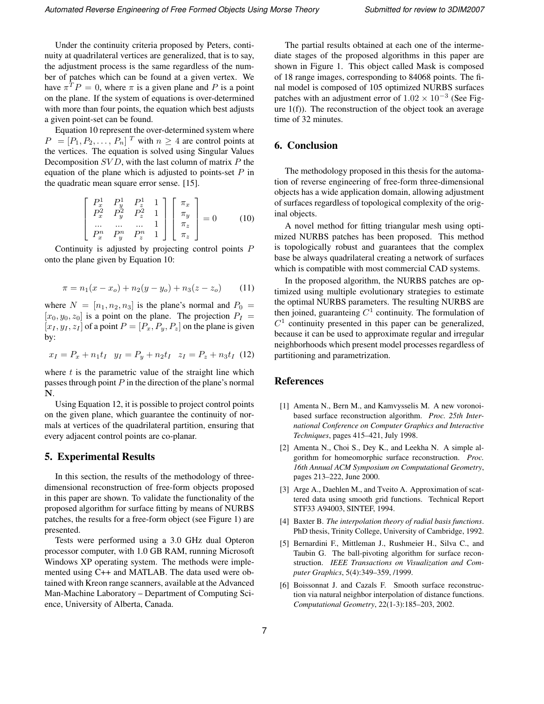Under the continuity criteria proposed by Peters, continuity at quadrilateral vertices are generalized, that is to say, the adjustment process is the same regardless of the number of patches which can be found at a given vertex. We have  $\pi^T P = 0$ , where  $\pi$  is a given plane and P is a point on the plane. If the system of equations is over-determined with more than four points, the equation which best adjusts a given point-set can be found.

Equation 10 represent the over-determined system where  $P = [P_1, P_2, \dots, P_n]$ <sup>T</sup> with  $n \ge 4$  are control points at the vertices. The equation is solved using Singular Values Decomposition  $SVD$ , with the last column of matrix  $P$  the equation of the plane which is adjusted to points-set  $P$  in the quadratic mean square error sense. [15].

$$
\begin{bmatrix} P_x^1 & P_y^1 & P_z^1 & 1 \ P_x^2 & P_y^2 & P_z^2 & 1 \ \cdots & \cdots & \cdots & 1 \ P_x^n & P_y^n & P_z^n & 1 \end{bmatrix} \begin{bmatrix} \pi_x \\ \pi_y \\ \pi_z \\ \pi_z \end{bmatrix} = 0 \qquad (10)
$$

Continuity is adjusted by projecting control points P onto the plane given by Equation 10:

$$
\pi = n_1(x - x_o) + n_2(y - y_o) + n_3(z - z_o) \tag{11}
$$

where  $N = [n_1, n_2, n_3]$  is the plane's normal and  $P_0 =$  $[x_0, y_0, z_0]$  is a point on the plane. The projection  $P_I =$  $[x_I, y_I, z_I]$  of a point  $P = [P_x, P_y, P_z]$  on the plane is given by:

$$
x_I = P_x + n_1 t_I \quad y_I = P_y + n_2 t_I \quad z_I = P_z + n_3 t_I \tag{12}
$$

where  $t$  is the parametric value of the straight line which passes through point  $P$  in the direction of the plane's normal N.

Using Equation 12, it is possible to project control points on the given plane, which guarantee the continuity of normals at vertices of the quadrilateral partition, ensuring that every adjacent control points are co-planar.

### **5. Experimental Results**

In this section, the results of the methodology of threedimensional reconstruction of free-form objects proposed in this paper are shown. To validate the functionality of the proposed algorithm for surface fitting by means of NURBS patches, the results for a free-form object (see Figure 1) are presented.

Tests were performed using a 3.0 GHz dual Opteron processor computer, with 1.0 GB RAM, running Microsoft Windows XP operating system. The methods were implemented using C++ and MATLAB. The data used were obtained with Kreon range scanners, available at the Advanced Man-Machine Laboratory – Department of Computing Science, University of Alberta, Canada.

The partial results obtained at each one of the intermediate stages of the proposed algorithms in this paper are shown in Figure 1. This object called Mask is composed of 18 range images, corresponding to 84068 points. The final model is composed of 105 optimized NURBS surfaces patches with an adjustment error of  $1.02 \times 10^{-3}$  (See Figure  $1(f)$ ). The reconstruction of the object took an average time of 32 minutes.

# **6. Conclusion**

The methodology proposed in this thesis for the automation of reverse engineering of free-form three-dimensional objects has a wide application domain, allowing adjustment of surfaces regardless of topological complexity of the original objects.

A novel method for fitting triangular mesh using optimized NURBS patches has been proposed. This method is topologically robust and guarantees that the complex base be always quadrilateral creating a network of surfaces which is compatible with most commercial CAD systems.

In the proposed algorithm, the NURBS patches are optimized using multiple evolutionary strategies to estimate the optimal NURBS parameters. The resulting NURBS are then joined, guaranteing  $C^1$  continuity. The formulation of  $C<sup>1</sup>$  continuity presented in this paper can be generalized, because it can be used to approximate regular and irregular neighborhoods which present model processes regardless of partitioning and parametrization.

#### **References**

- [1] Amenta N., Bern M., and Kamvysselis M. A new voronoibased surface reconstruction algorithm. *Proc. 25th International Conference on Computer Graphics and Interactive Techniques*, pages 415–421, July 1998.
- [2] Amenta N., Choi S., Dey K., and Leekha N. A simple algorithm for homeomorphic surface reconstruction. *Proc. 16th Annual ACM Symposium on Computational Geometry*, pages 213–222, June 2000.
- [3] Arge A., Daehlen M., and Tveito A. Approximation of scattered data using smooth grid functions. Technical Report STF33 A94003, SINTEF, 1994.
- [4] Baxter B. *The interpolation theory of radial basis functions*. PhD thesis, Trinity College, University of Cambridge, 1992.
- [5] Bernardini F., Mittleman J., Rushmeier H., Silva C., and Taubin G. The ball-pivoting algorithm for surface reconstruction. *IEEE Transactions on Visualization and Computer Graphics*, 5(4):349–359, /1999.
- [6] Boissonnat J. and Cazals F. Smooth surface reconstruction via natural neighbor interpolation of distance functions. *Computational Geometry*, 22(1-3):185–203, 2002.